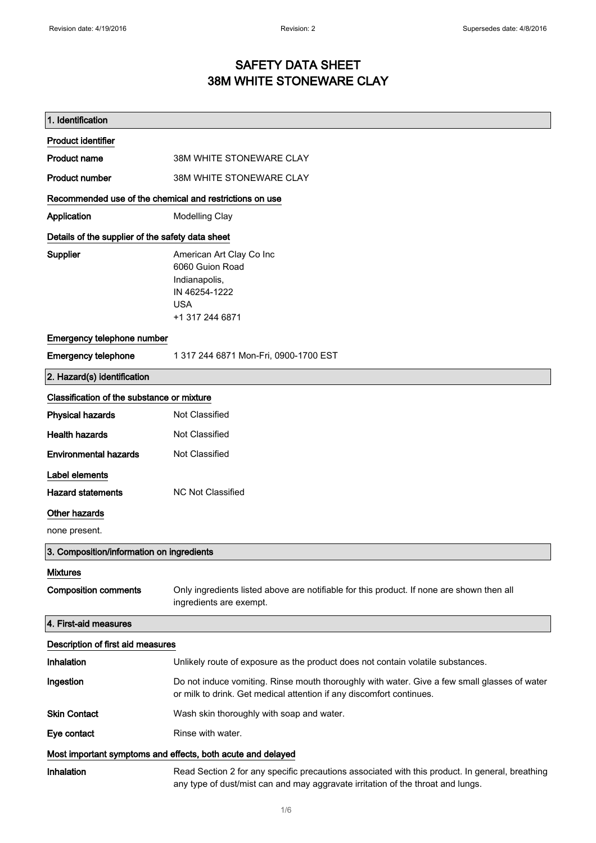### SAFETY DATA SHEET 38M WHITE STONEWARE CLAY

| 1. Identification                                           |                                                                                                                                                                                    |  |
|-------------------------------------------------------------|------------------------------------------------------------------------------------------------------------------------------------------------------------------------------------|--|
| <b>Product identifier</b>                                   |                                                                                                                                                                                    |  |
| <b>Product name</b>                                         | 38M WHITE STONEWARE CLAY                                                                                                                                                           |  |
| <b>Product number</b>                                       | 38M WHITE STONEWARE CLAY                                                                                                                                                           |  |
| Recommended use of the chemical and restrictions on use     |                                                                                                                                                                                    |  |
| Application                                                 | <b>Modelling Clay</b>                                                                                                                                                              |  |
| Details of the supplier of the safety data sheet            |                                                                                                                                                                                    |  |
| Supplier                                                    | American Art Clay Co Inc<br>6060 Guion Road<br>Indianapolis,<br>IN 46254-1222<br><b>USA</b><br>+1 317 244 6871                                                                     |  |
| Emergency telephone number                                  |                                                                                                                                                                                    |  |
| <b>Emergency telephone</b>                                  | 1 317 244 6871 Mon-Fri, 0900-1700 EST                                                                                                                                              |  |
| 2. Hazard(s) identification                                 |                                                                                                                                                                                    |  |
| Classification of the substance or mixture                  |                                                                                                                                                                                    |  |
| <b>Physical hazards</b>                                     | Not Classified                                                                                                                                                                     |  |
| <b>Health hazards</b>                                       | Not Classified                                                                                                                                                                     |  |
| <b>Environmental hazards</b>                                | Not Classified                                                                                                                                                                     |  |
| Label elements                                              |                                                                                                                                                                                    |  |
| <b>Hazard statements</b>                                    | <b>NC Not Classified</b>                                                                                                                                                           |  |
| Other hazards                                               |                                                                                                                                                                                    |  |
| none present.                                               |                                                                                                                                                                                    |  |
| 3. Composition/information on ingredients                   |                                                                                                                                                                                    |  |
| <b>Mixtures</b>                                             |                                                                                                                                                                                    |  |
| <b>Composition comments</b>                                 | Only ingredients listed above are notifiable for this product. If none are shown then all<br>ingredients are exempt.                                                               |  |
| 4. First-aid measures                                       |                                                                                                                                                                                    |  |
| Description of first aid measures                           |                                                                                                                                                                                    |  |
| Inhalation                                                  | Unlikely route of exposure as the product does not contain volatile substances.                                                                                                    |  |
| Ingestion                                                   | Do not induce vomiting. Rinse mouth thoroughly with water. Give a few small glasses of water<br>or milk to drink. Get medical attention if any discomfort continues.               |  |
| <b>Skin Contact</b>                                         | Wash skin thoroughly with soap and water.                                                                                                                                          |  |
| Eye contact                                                 | Rinse with water.                                                                                                                                                                  |  |
| Most important symptoms and effects, both acute and delayed |                                                                                                                                                                                    |  |
| <b>Inhalation</b>                                           | Read Section 2 for any specific precautions associated with this product. In general, breathing<br>any type of dust/mist can and may aggravate irritation of the throat and lungs. |  |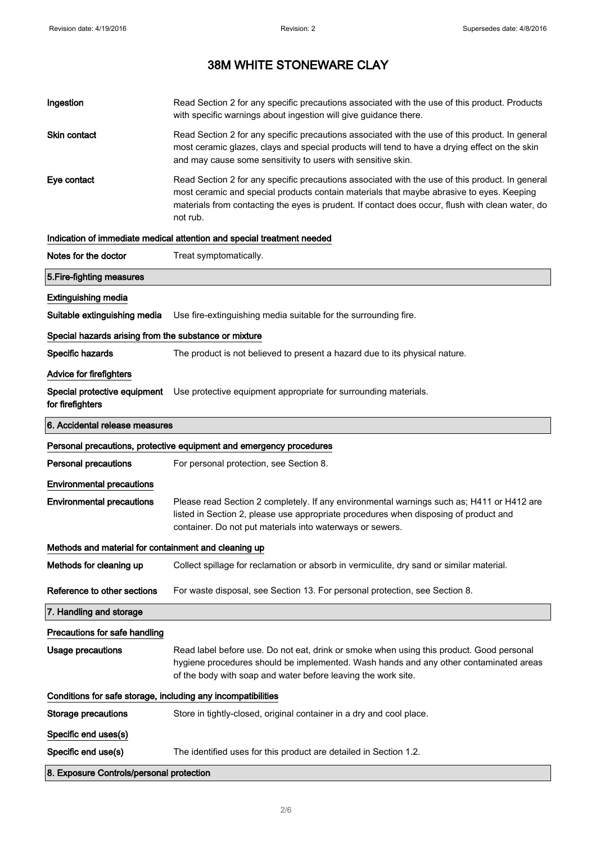| Ingestion                                                    | Read Section 2 for any specific precautions associated with the use of this product. Products<br>with specific warnings about ingestion will give guidance there.                                                                                                                                           |  |
|--------------------------------------------------------------|-------------------------------------------------------------------------------------------------------------------------------------------------------------------------------------------------------------------------------------------------------------------------------------------------------------|--|
| Skin contact                                                 | Read Section 2 for any specific precautions associated with the use of this product. In general<br>most ceramic glazes, clays and special products will tend to have a drying effect on the skin<br>and may cause some sensitivity to users with sensitive skin.                                            |  |
| Eye contact                                                  | Read Section 2 for any specific precautions associated with the use of this product. In general<br>most ceramic and special products contain materials that maybe abrasive to eyes. Keeping<br>materials from contacting the eyes is prudent. If contact does occur, flush with clean water, do<br>not rub. |  |
|                                                              | Indication of immediate medical attention and special treatment needed                                                                                                                                                                                                                                      |  |
| Notes for the doctor                                         | Treat symptomatically.                                                                                                                                                                                                                                                                                      |  |
| 5. Fire-fighting measures                                    |                                                                                                                                                                                                                                                                                                             |  |
| <b>Extinguishing media</b>                                   |                                                                                                                                                                                                                                                                                                             |  |
| Suitable extinguishing media                                 | Use fire-extinguishing media suitable for the surrounding fire.                                                                                                                                                                                                                                             |  |
| Special hazards arising from the substance or mixture        |                                                                                                                                                                                                                                                                                                             |  |
| Specific hazards                                             | The product is not believed to present a hazard due to its physical nature.                                                                                                                                                                                                                                 |  |
| Advice for firefighters                                      |                                                                                                                                                                                                                                                                                                             |  |
| Special protective equipment<br>for firefighters             | Use protective equipment appropriate for surrounding materials.                                                                                                                                                                                                                                             |  |
| 6. Accidental release measures                               |                                                                                                                                                                                                                                                                                                             |  |
|                                                              | Personal precautions, protective equipment and emergency procedures                                                                                                                                                                                                                                         |  |
| <b>Personal precautions</b>                                  | For personal protection, see Section 8.                                                                                                                                                                                                                                                                     |  |
| <b>Environmental precautions</b>                             |                                                                                                                                                                                                                                                                                                             |  |
| <b>Environmental precautions</b>                             | Please read Section 2 completely. If any environmental warnings such as; H411 or H412 are<br>listed in Section 2, please use appropriate procedures when disposing of product and<br>container. Do not put materials into waterways or sewers.                                                              |  |
| Methods and material for containment and cleaning up         |                                                                                                                                                                                                                                                                                                             |  |
| Methods for cleaning up                                      | Collect spillage for reclamation or absorb in vermiculite, dry sand or similar material.                                                                                                                                                                                                                    |  |
| Reference to other sections                                  | For waste disposal, see Section 13. For personal protection, see Section 8.                                                                                                                                                                                                                                 |  |
| 7. Handling and storage                                      |                                                                                                                                                                                                                                                                                                             |  |
| Precautions for safe handling                                |                                                                                                                                                                                                                                                                                                             |  |
| <b>Usage precautions</b>                                     | Read label before use. Do not eat, drink or smoke when using this product. Good personal<br>hygiene procedures should be implemented. Wash hands and any other contaminated areas<br>of the body with soap and water before leaving the work site.                                                          |  |
| Conditions for safe storage, including any incompatibilities |                                                                                                                                                                                                                                                                                                             |  |
| <b>Storage precautions</b>                                   | Store in tightly-closed, original container in a dry and cool place.                                                                                                                                                                                                                                        |  |
| Specific end uses(s)                                         |                                                                                                                                                                                                                                                                                                             |  |
| Specific end use(s)                                          | The identified uses for this product are detailed in Section 1.2.                                                                                                                                                                                                                                           |  |
| 8. Exposure Controls/personal protection                     |                                                                                                                                                                                                                                                                                                             |  |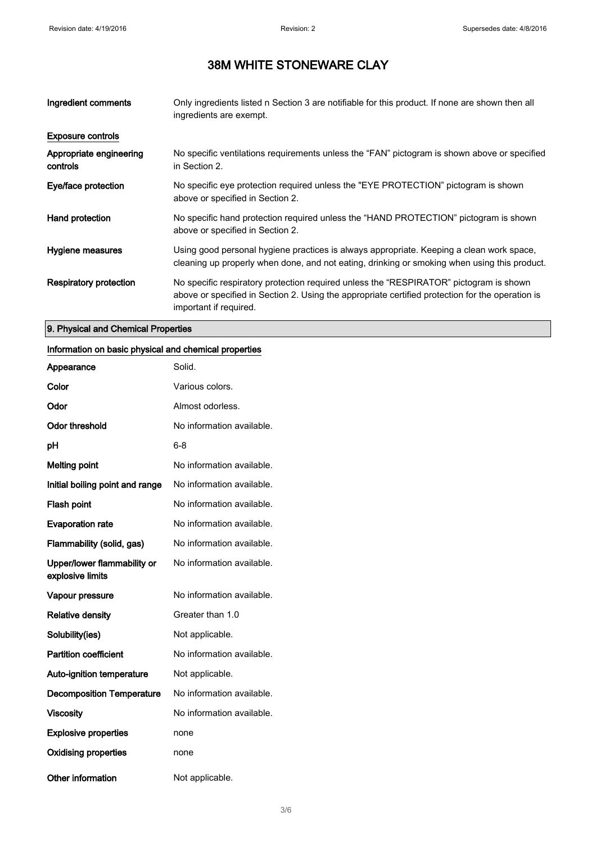| Ingredient comments                 | Only ingredients listed n Section 3 are notifiable for this product. If none are shown then all<br>ingredients are exempt.                                                                                           |
|-------------------------------------|----------------------------------------------------------------------------------------------------------------------------------------------------------------------------------------------------------------------|
| <b>Exposure controls</b>            |                                                                                                                                                                                                                      |
| Appropriate engineering<br>controls | No specific ventilations requirements unless the "FAN" pictogram is shown above or specified<br>in Section 2.                                                                                                        |
| Eye/face protection                 | No specific eye protection required unless the "EYE PROTECTION" pictogram is shown<br>above or specified in Section 2.                                                                                               |
| Hand protection                     | No specific hand protection required unless the "HAND PROTECTION" pictogram is shown<br>above or specified in Section 2.                                                                                             |
| Hygiene measures                    | Using good personal hygiene practices is always appropriate. Keeping a clean work space,<br>cleaning up properly when done, and not eating, drinking or smoking when using this product.                             |
| Respiratory protection              | No specific respiratory protection required unless the "RESPIRATOR" pictogram is shown<br>above or specified in Section 2. Using the appropriate certified protection for the operation is<br>important if required. |

### 9. Physical and Chemical Properties

### Information on basic physical and chemical properties

| Appearance                                      | Solid.                    |
|-------------------------------------------------|---------------------------|
| Color                                           | Various colors.           |
| Odor                                            | Almost odorless.          |
| <b>Odor threshold</b>                           | No information available. |
| рH                                              | 6-8                       |
| <b>Melting point</b>                            | No information available. |
| Initial boiling point and range                 | No information available. |
| <b>Flash point</b>                              | No information available. |
| <b>Evaporation rate</b>                         | No information available. |
| Flammability (solid, gas)                       | No information available. |
| Upper/lower flammability or<br>explosive limits | No information available. |
| Vapour pressure                                 | No information available. |
| <b>Relative density</b>                         | Greater than 1.0          |
| Solubility(ies)                                 | Not applicable.           |
| <b>Partition coefficient</b>                    | No information available. |
| <b>Auto-ignition temperature</b>                | Not applicable.           |
| <b>Decomposition Temperature</b>                | No information available. |
| <b>Viscosity</b>                                | No information available. |
| <b>Explosive properties</b>                     | none                      |
| Oxidising properties                            | none                      |
| Other information                               | Not applicable.           |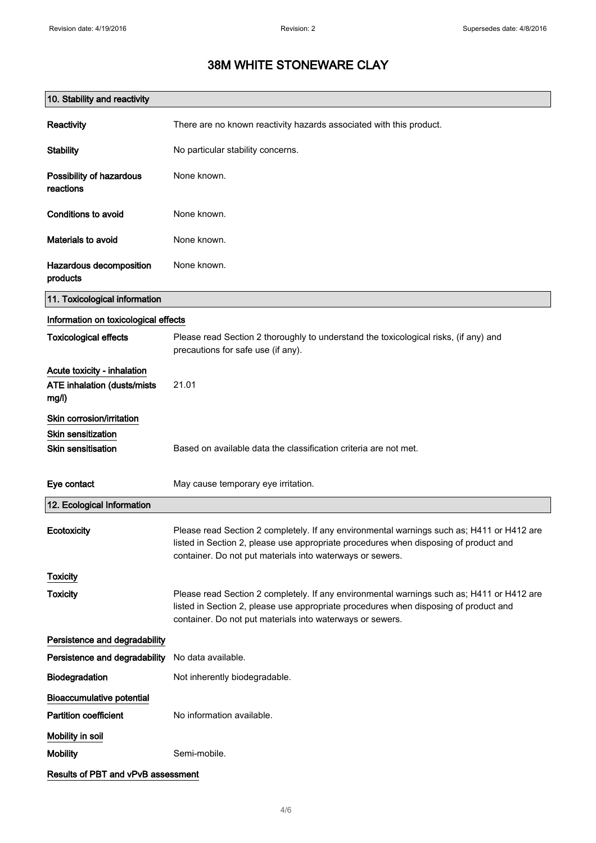| 10. Stability and reactivity                                        |                                                                                                                                                                                                                                                |
|---------------------------------------------------------------------|------------------------------------------------------------------------------------------------------------------------------------------------------------------------------------------------------------------------------------------------|
| <b>Reactivity</b>                                                   | There are no known reactivity hazards associated with this product.                                                                                                                                                                            |
| <b>Stability</b>                                                    | No particular stability concerns.                                                                                                                                                                                                              |
| Possibility of hazardous<br>reactions                               | None known.                                                                                                                                                                                                                                    |
| <b>Conditions to avoid</b>                                          | None known.                                                                                                                                                                                                                                    |
| Materials to avoid                                                  | None known.                                                                                                                                                                                                                                    |
| Hazardous decomposition<br>products                                 | None known.                                                                                                                                                                                                                                    |
| 11. Toxicological information                                       |                                                                                                                                                                                                                                                |
| Information on toxicological effects                                |                                                                                                                                                                                                                                                |
| <b>Toxicological effects</b>                                        | Please read Section 2 thoroughly to understand the toxicological risks, (if any) and<br>precautions for safe use (if any).                                                                                                                     |
| Acute toxicity - inhalation<br>ATE inhalation (dusts/mists<br>mg/l) | 21.01                                                                                                                                                                                                                                          |
| Skin corrosion/irritation                                           |                                                                                                                                                                                                                                                |
| Skin sensitization<br><b>Skin sensitisation</b>                     | Based on available data the classification criteria are not met.                                                                                                                                                                               |
|                                                                     |                                                                                                                                                                                                                                                |
| Eye contact                                                         | May cause temporary eye irritation.                                                                                                                                                                                                            |
| 12. Ecological Information                                          |                                                                                                                                                                                                                                                |
| Ecotoxicity                                                         | Please read Section 2 completely. If any environmental warnings such as; H411 or H412 are<br>listed in Section 2, please use appropriate procedures when disposing of product and<br>container. Do not put materials into waterways or sewers. |
| <b>Toxicity</b>                                                     |                                                                                                                                                                                                                                                |
| <b>Toxicity</b>                                                     | Please read Section 2 completely. If any environmental warnings such as; H411 or H412 are<br>listed in Section 2, please use appropriate procedures when disposing of product and<br>container. Do not put materials into waterways or sewers. |
| Persistence and degradability                                       |                                                                                                                                                                                                                                                |
| Persistence and degradability                                       | No data available.                                                                                                                                                                                                                             |
| <b>Biodegradation</b>                                               | Not inherently biodegradable.                                                                                                                                                                                                                  |
| <b>Bioaccumulative potential</b>                                    |                                                                                                                                                                                                                                                |
| <b>Partition coefficient</b>                                        | No information available.                                                                                                                                                                                                                      |
| Mobility in soil                                                    |                                                                                                                                                                                                                                                |
| <b>Mobility</b>                                                     | Semi-mobile.                                                                                                                                                                                                                                   |
| Results of PBT and vPvB assessment                                  |                                                                                                                                                                                                                                                |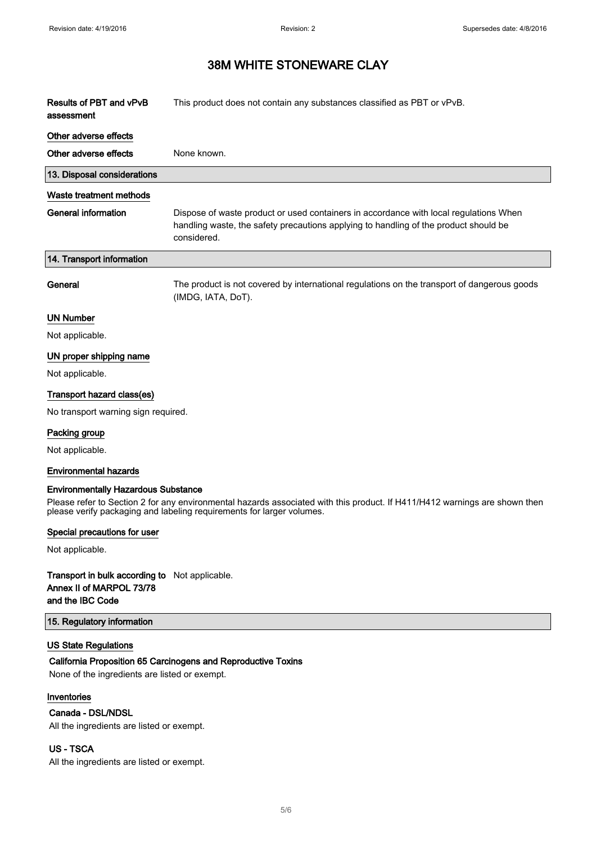$\overline{\phantom{a}}$ 

### 38M WHITE STONEWARE CLAY

| <b>Results of PBT and vPvB</b><br>assessment | This product does not contain any substances classified as PBT or vPvB.                                                                                                                      |
|----------------------------------------------|----------------------------------------------------------------------------------------------------------------------------------------------------------------------------------------------|
| Other adverse effects                        |                                                                                                                                                                                              |
| Other adverse effects                        | None known.                                                                                                                                                                                  |
| 13. Disposal considerations                  |                                                                                                                                                                                              |
| Waste treatment methods                      |                                                                                                                                                                                              |
| <b>General information</b>                   | Dispose of waste product or used containers in accordance with local regulations When<br>handling waste, the safety precautions applying to handling of the product should be<br>considered. |
| 14. Transport information                    |                                                                                                                                                                                              |
| General                                      | The product is not covered by international regulations on the transport of dangerous goods<br>(IMDG, IATA, DoT).                                                                            |
| <b>UN Number</b>                             |                                                                                                                                                                                              |
| Not applicable.                              |                                                                                                                                                                                              |
| UN proper shipping name                      |                                                                                                                                                                                              |
| Not applicable.                              |                                                                                                                                                                                              |
| Transport hazard class(es)                   |                                                                                                                                                                                              |
| No transport warning sign required.          |                                                                                                                                                                                              |
| Packing group                                |                                                                                                                                                                                              |
| Not applicable.                              |                                                                                                                                                                                              |
| <b>Environmental hazards</b>                 |                                                                                                                                                                                              |

#### Environmentally Hazardous Substance

Please refer to Section 2 for any environmental hazards associated with this product. If H411/H412 warnings are shown then please verify packaging and labeling requirements for larger volumes.

#### Special precautions for user

Not applicable.

#### Transport in bulk according to Not applicable. Annex II of MARPOL 73/78 and the IBC Code

#### 15. Regulatory information

#### US State Regulations

#### California Proposition 65 Carcinogens and Reproductive Toxins

None of the ingredients are listed or exempt.

#### Inventories

#### Canada - DSL/NDSL

All the ingredients are listed or exempt.

#### US - TSCA

All the ingredients are listed or exempt.